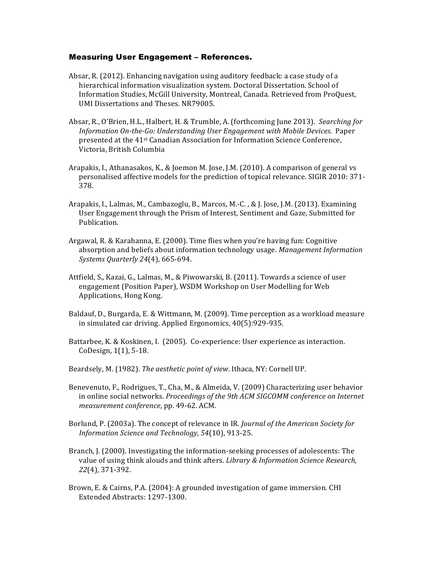## Measuring User Engagement – References.

- Absar, R. (2012). Enhancing navigation using auditory feedback: a case study of a hierarchical information visualization system. Doctoral Dissertation. School of Information Studies, McGill University, Montreal, Canada. Retrieved from ProQuest, UMI Dissertations and Theses. NR79005.
- Absar, R., O'Brien, H.L., Halbert, H. & Trumble, A. (forthcoming June 2013). *Searching for Information On-the-Go: Understanding User Engagement with Mobile Devices.* Paper presented at the 41<sup>st</sup> Canadian Association for Information Science Conference, Victoria, British Columbia
- Arapakis, I., Athanasakos, K., & Joemon M. Jose, J.M. (2010). A comparison of general vs personalised affective models for the prediction of topical relevance. SIGIR 2010: 371-378.
- Arapakis, I., Lalmas, M., Cambazoglu, B., Marcos, M.-C., & J. Jose, J.M. (2013). Examining User Engagement through the Prism of Interest, Sentiment and Gaze, Submitted for Publication.
- Argawal, R. & Karahanna, E.  $(2000)$ . Time flies when you're having fun: Cognitive absorption and beliefs about information technology usage. Management Information *Systems Quarterly 24*(4), 665-694.
- Attfield, S., Kazai, G., Lalmas, M., & Piwowarski, B. (2011). Towards a science of user engagement (Position Paper), WSDM Workshop on User Modelling for Web Applications, Hong Kong.
- Baldauf, D., Burgarda, E. & Wittmann, M. (2009). Time perception as a workload measure in simulated car driving. Applied Ergonomics, 40(5):929-935.
- Battarbee, K. & Koskinen, I. (2005). Co-experience: User experience as interaction. CoDesign,  $1(1)$ , 5-18.
- Beardsely, M. (1982). The aesthetic point of view. Ithaca, NY: Cornell UP.
- Benevenuto, F., Rodrigues, T., Cha, M., & Almeida, V. (2009) Characterizing user behavior in online social networks. *Proceedings of the 9th ACM SIGCOMM* conference on Internet *measurement conference*, pp. 49-62. ACM.
- Borlund, P. (2003a). The concept of relevance in IR. *Journal of the American Society for Information Science and Technology, 54*(10), 913-25.
- Branch, J. (2000). Investigating the information-seeking processes of adolescents: The value of using think alouds and think afters. *Library & Information Science Research*, *22*(4), 371-392.
- Brown, E. & Cairns, P.A. (2004): A grounded investigation of game immersion. CHI Extended Abstracts: 1297-1300.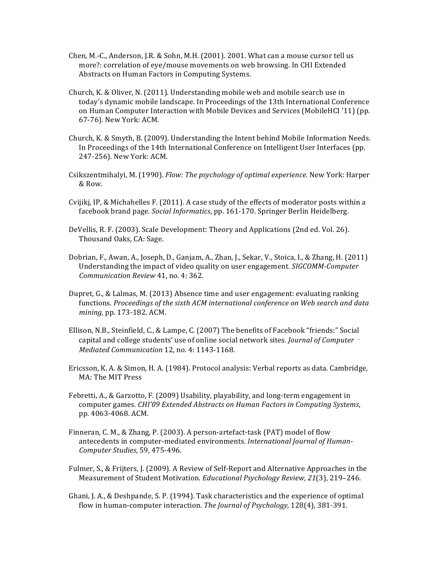- Chen, M.-C., Anderson, J.R. & Sohn, M.H.  $(2001)$ . 2001. What can a mouse cursor tell us more?: correlation of eye/mouse movements on web browsing. In CHI Extended Abstracts on Human Factors in Computing Systems.
- Church, K. & Oliver, N. (2011). Understanding mobile web and mobile search use in today's dynamic mobile landscape. In Proceedings of the 13th International Conference on Human Computer Interaction with Mobile Devices and Services (MobileHCI '11) (pp. 67-76). New York: ACM.
- Church, K. & Smyth, B. (2009). Understanding the Intent behind Mobile Information Needs. In Proceedings of the 14th International Conference on Intelligent User Interfaces (pp. 247-256). New York: ACM.
- Csikszentmihalyi, M. (1990). *Flow: The psychology of optimal experience*. New York: Harper & Row.
- Cvijikj, IP, & Michahelles F. (2011). A case study of the effects of moderator posts within a facebook brand page. *Social Informatics*, pp. 161-170. Springer Berlin Heidelberg.
- DeVellis, R. F. (2003). Scale Development: Theory and Applications (2nd ed. Vol. 26). Thousand Oaks, CA: Sage.
- Dobrian, F., Awan, A., Joseph, D., Ganjam, A., Zhan, J., Sekar, V., Stoica, I., & Zhang, H. (2011) Understanding the impact of video quality on user engagement. *SIGCOMM-Computer Communication Review* 41, no. 4: 362.
- Dupret, G., & Lalmas, M. (2013) Absence time and user engagement: evaluating ranking functions. Proceedings of the sixth ACM international conference on Web search and data *mining*, pp. 173-182. ACM.
- Ellison, N.B., Steinfield, C., & Lampe, C. (2007) The benefits of Facebook "friends:" Social capital and college students' use of online social network sites. *Journal of Computer* -*Mediated Communication* 12, no. 4: 1143-1168.
- Ericsson, K. A. & Simon, H. A. (1984). Protocol analysis: Verbal reports as data. Cambridge, MA: The MIT Press
- Febretti, A., & Garzotto, F. (2009) Usability, playability, and long-term engagement in computer games. *CHI'09* Extended Abstracts on Human Factors in Computing Systems, pp. 4063-4068. ACM.
- Finneran, C. M., & Zhang, P.  $(2003)$ . A person-artefact-task  $(PAT)$  model of flow antecedents in computer-mediated environments. International Journal of Human-*Computer Studies*, 59, 475-496.
- Fulmer, S., & Frijters, J. (2009). A Review of Self-Report and Alternative Approaches in the Measurement of Student Motivation. *Educational Psychology Review, 21*(3), 219-246.
- Ghani, J. A., & Deshpande, S. P. (1994). Task characteristics and the experience of optimal flow in human-computer interaction. *The Journal of Psychology*, 128(4), 381-391.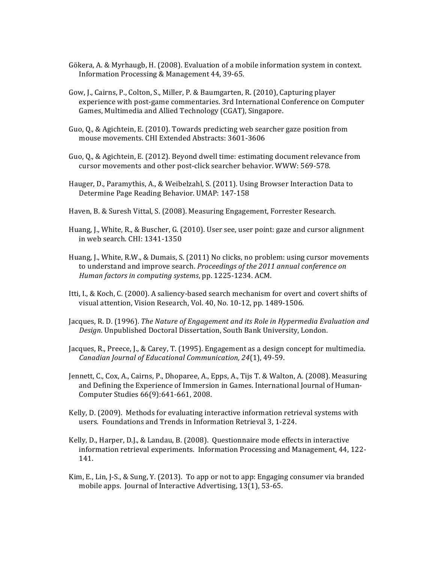- Gökera, A. & Myrhaugb, H. (2008). Evaluation of a mobile information system in context. Information Processing & Management 44, 39-65.
- Gow, J., Cairns, P., Colton, S., Miller, P. & Baumgarten, R. (2010), Capturing player experience with post-game commentaries. 3rd International Conference on Computer Games, Multimedia and Allied Technology (CGAT), Singapore.
- Guo, Q., & Agichtein, E. (2010). Towards predicting web searcher gaze position from mouse movements. CHI Extended Abstracts: 3601-3606
- Guo, Q., & Agichtein, E. (2012). Beyond dwell time: estimating document relevance from cursor movements and other post-click searcher behavior. WWW: 569-578.
- Hauger, D., Paramythis, A., & Weibelzahl, S. (2011). Using Browser Interaction Data to Determine Page Reading Behavior. UMAP: 147-158
- Haven, B. & Suresh Vittal, S. (2008). Measuring Engagement, Forrester Research.
- Huang, J., White, R., & Buscher, G. (2010). User see, user point: gaze and cursor alignment in web search. CHI: 1341-1350
- Huang, J., White, R.W., & Dumais, S. (2011) No clicks, no problem: using cursor movements to understand and improve search. *Proceedings of the 2011 annual conference on Human factors in computing systems*, pp. 1225-1234. ACM.
- Itti, I., & Koch, C. (2000). A saliency-based search mechanism for overt and covert shifts of visual attention, Vision Research, Vol. 40, No. 10-12, pp. 1489-1506.
- Jacques, R. D. (1996). *The Nature of Engagement and its Role in Hypermedia Evaluation and Design*. Unpublished Doctoral Dissertation, South Bank University, London.
- Jacques, R., Preece, J., & Carey, T. (1995). Engagement as a design concept for multimedia. *Canadian Journal of Educational Communication, 24*(1), 49-59.
- Jennett, C., Cox, A., Cairns, P., Dhoparee, A., Epps, A., Tijs T. & Walton, A. (2008). Measuring and Defining the Experience of Immersion in Games. International Journal of Human-Computer Studies 66(9):641-661, 2008.
- Kelly, D. (2009). Methods for evaluating interactive information retrieval systems with users. Foundations and Trends in Information Retrieval 3, 1-224.
- Kelly, D., Harper, D.J., & Landau, B. (2008). Questionnaire mode effects in interactive information retrieval experiments. Information Processing and Management,  $44, 122$ -141.
- Kim, E., Lin, J.-S., & Sung, Y. (2013). To app or not to app: Engaging consumer via branded mobile apps. Journal of Interactive Advertising, 13(1), 53-65.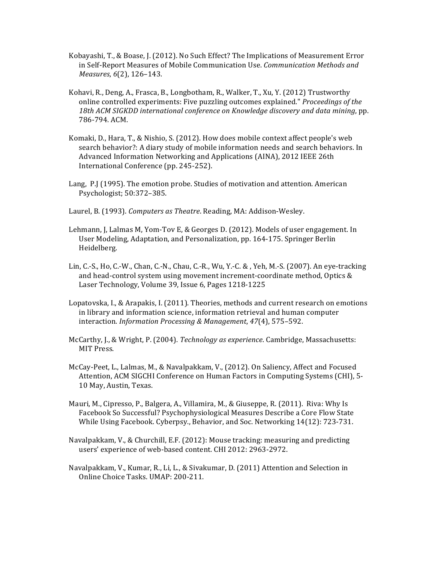- Kobayashi, T., & Boase, J. (2012). No Such Effect? The Implications of Measurement Error in Self-Report Measures of Mobile Communication Use. *Communication Methods and Measures*,  $6(2)$ , 126-143.
- Kohavi, R., Deng, A., Frasca, B., Longbotham, R., Walker, T., Xu, Y. (2012) Trustworthy online controlled experiments: Five puzzling outcomes explained." *Proceedings of the* 18th ACM SIGKDD international conference on Knowledge discovery and data mining, pp. 786-794. ACM.
- Komaki, D., Hara, T., & Nishio, S. (2012). How does mobile context affect people's web search behavior?: A diary study of mobile information needs and search behaviors. In Advanced Information Networking and Applications (AINA), 2012 IEEE 26th International Conference (pp. 245-252).
- Lang, P.J (1995). The emotion probe. Studies of motivation and attention. American Psychologist; 50:372-385.
- Laurel, B. (1993). *Computers as Theatre*. Reading, MA: Addison-Wesley.
- Lehmann, J, Lalmas M, Yom-Tov E, & Georges D. (2012). Models of user engagement. In User Modeling, Adaptation, and Personalization, pp. 164-175. Springer Berlin Heidelberg.
- Lin, C.-S., Ho, C.-W., Chan, C.-N., Chau, C.-R., Wu, Y.-C. & , Yeh, M.-S. (2007). An eye-tracking and head-control system using movement increment-coordinate method, Optics & Laser Technology, Volume 39, Issue 6, Pages 1218-1225
- Lopatovska, I., & Arapakis, I. (2011). Theories, methods and current research on emotions in library and information science, information retrieval and human computer interaction. *Information Processing & Management*, 47(4), 575–592.
- McCarthy, J., & Wright, P. (2004). *Technology as experience*. Cambridge, Massachusetts: MIT Press.
- McCay-Peet, L., Lalmas, M., & Navalpakkam, V., (2012). On Saliency, Affect and Focused Attention, ACM SIGCHI Conference on Human Factors in Computing Systems (CHI), 5-10 May, Austin, Texas.
- Mauri, M., Cipresso, P., Balgera, A., Villamira, M., & Giuseppe, R. (2011). Riva: Why Is Facebook So Successful? Psychophysiological Measures Describe a Core Flow State While Using Facebook. Cyberpsy., Behavior, and Soc. Networking 14(12): 723-731.
- Navalpakkam, V., & Churchill, E.F. (2012): Mouse tracking: measuring and predicting users' experience of web-based content. CHI 2012: 2963-2972.
- Navalpakkam, V., Kumar, R., Li, L., & Sivakumar, D. (2011) Attention and Selection in Online Choice Tasks. UMAP: 200-211.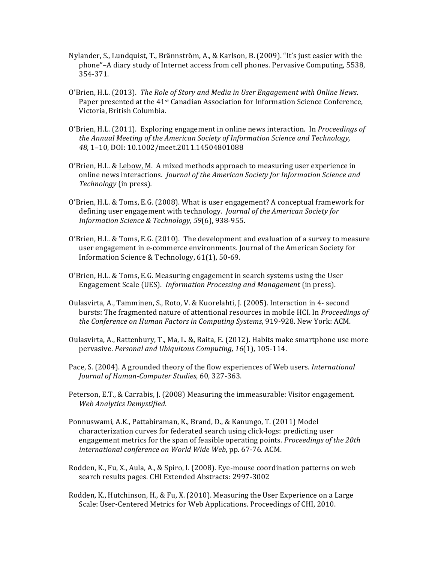- Nylander, S., Lundquist, T., Brännström, A., & Karlson, B. (2009). "It's just easier with the phone"–A diary study of Internet access from cell phones. Pervasive Computing, 5538, 354-371.
- O'Brien, H.L. (2013). The Role of Story and Media in User Engagement with Online News. Paper presented at the 41<sup>st</sup> Canadian Association for Information Science Conference, Victoria, British Columbia.
- O'Brien, H.L. (2011). Exploring engagement in online news interaction. In *Proceedings of the Annual Meeting of the American Society of Information Science and Technology,* 48, 1-10, DOI: 10.1002/meet.2011.14504801088
- O'Brien, H.L. & Lebow, M. A mixed methods approach to measuring user experience in online news interactions. *Journal of the American Society for Information Science and Technology* (in press).
- O'Brien, H.L. & Toms, E.G. (2008). What is user engagement? A conceptual framework for defining user engagement with technology. *Journal of the American Society for Information Science & Technology, 59*(6), 938-955.
- O'Brien, H.L. & Toms, E.G.  $(2010)$ . The development and evaluation of a survey to measure user engagement in e-commerce environments. Journal of the American Society for Information Science & Technology, 61(1), 50-69.
- O'Brien, H.L. & Toms, E.G. Measuring engagement in search systems using the User Engagement Scale (UES). Information Processing and Management (in press).
- Oulasvirta, A., Tamminen, S., Roto, V. & Kuorelahti, J. (2005). Interaction in 4- second bursts: The fragmented nature of attentional resources in mobile HCI. In *Proceedings of the Conference on Human Factors in Computing Systems*, 919-928. New York: ACM.
- Oulasvirta, A., Rattenbury, T., Ma, L. &, Raita, E. (2012). Habits make smartphone use more pervasive. Personal and Ubiquitous Computing, 16(1), 105-114.
- Pace, S. (2004). A grounded theory of the flow experiences of Web users. *International Journal of Human-Computer Studies*, 60, 327-363.
- Peterson, E.T., & Carrabis, J. (2008) Measuring the immeasurable: Visitor engagement. *Web Analytics Demystified*.
- Ponnuswami, A.K., Pattabiraman, K., Brand, D., & Kanungo, T. (2011) Model characterization curves for federated search using click-logs: predicting user engagement metrics for the span of feasible operating points. *Proceedings of the 20th* international conference on World Wide Web, pp. 67-76. ACM.
- Rodden, K., Fu, X., Aula, A., & Spiro, I. (2008). Eye-mouse coordination patterns on web search results pages. CHI Extended Abstracts: 2997-3002
- Rodden, K., Hutchinson, H., & Fu, X. (2010). Measuring the User Experience on a Large Scale: User-Centered Metrics for Web Applications. Proceedings of CHI, 2010.